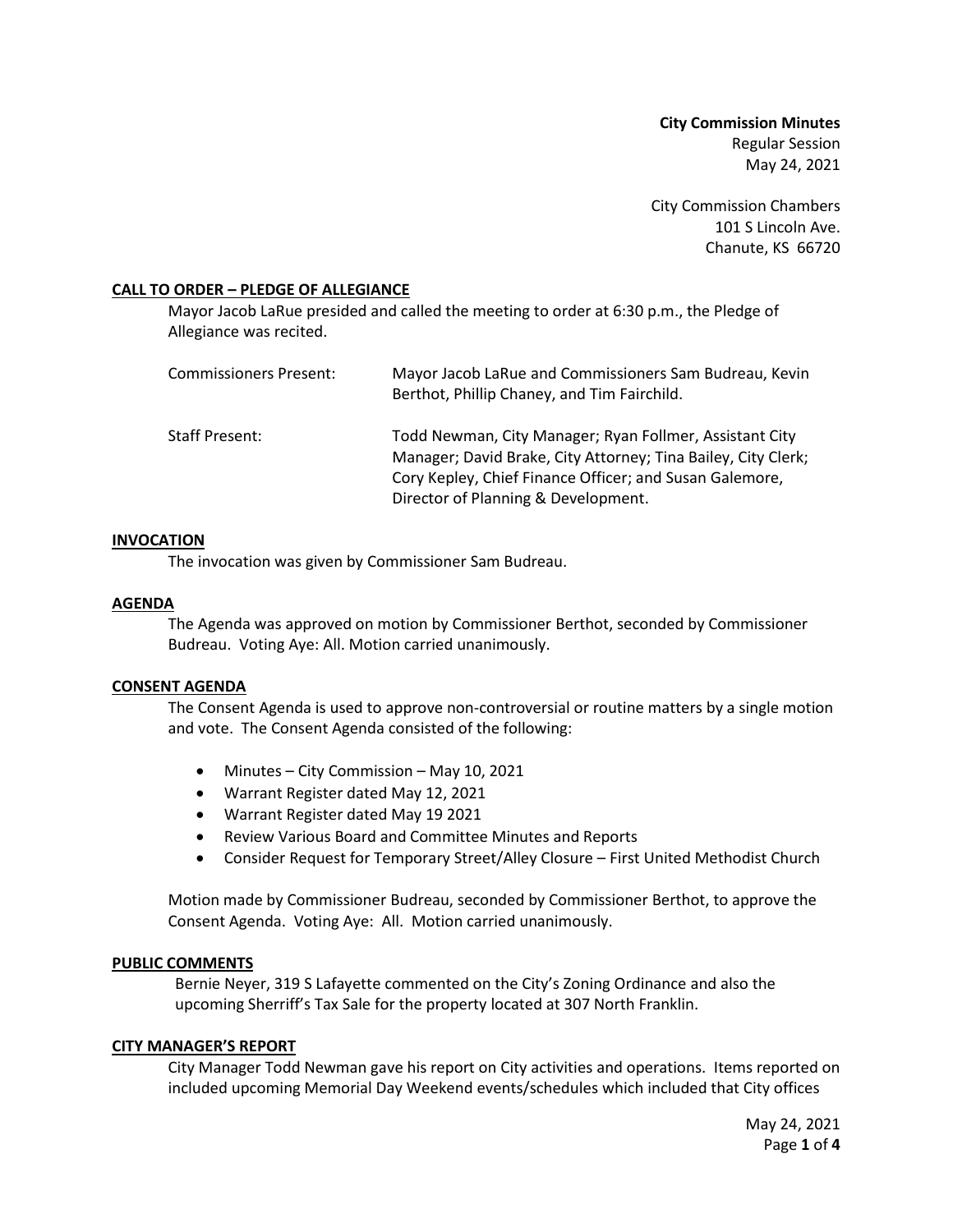**City Commission Minutes** Regular Session May 24, 2021

City Commission Chambers 101 S Lincoln Ave. Chanute, KS 66720

## **CALL TO ORDER – PLEDGE OF ALLEGIANCE**

Mayor Jacob LaRue presided and called the meeting to order at 6:30 p.m., the Pledge of Allegiance was recited.

| Commissioners Present: | Mayor Jacob LaRue and Commissioners Sam Budreau, Kevin<br>Berthot, Phillip Chaney, and Tim Fairchild.                                                                                                                      |
|------------------------|----------------------------------------------------------------------------------------------------------------------------------------------------------------------------------------------------------------------------|
| Staff Present:         | Todd Newman, City Manager; Ryan Follmer, Assistant City<br>Manager; David Brake, City Attorney; Tina Bailey, City Clerk;<br>Cory Kepley, Chief Finance Officer; and Susan Galemore,<br>Director of Planning & Development. |

### **INVOCATION**

The invocation was given by Commissioner Sam Budreau.

## **AGENDA**

The Agenda was approved on motion by Commissioner Berthot, seconded by Commissioner Budreau. Voting Aye: All. Motion carried unanimously.

### **CONSENT AGENDA**

The Consent Agenda is used to approve non-controversial or routine matters by a single motion and vote. The Consent Agenda consisted of the following:

- Minutes City Commission May 10, 2021
- Warrant Register dated May 12, 2021
- Warrant Register dated May 19 2021
- Review Various Board and Committee Minutes and Reports
- Consider Request for Temporary Street/Alley Closure First United Methodist Church

Motion made by Commissioner Budreau, seconded by Commissioner Berthot, to approve the Consent Agenda. Voting Aye: All. Motion carried unanimously.

# **PUBLIC COMMENTS**

Bernie Neyer, 319 S Lafayette commented on the City's Zoning Ordinance and also the upcoming Sherriff's Tax Sale for the property located at 307 North Franklin.

# **CITY MANAGER'S REPORT**

City Manager Todd Newman gave his report on City activities and operations. Items reported on included upcoming Memorial Day Weekend events/schedules which included that City offices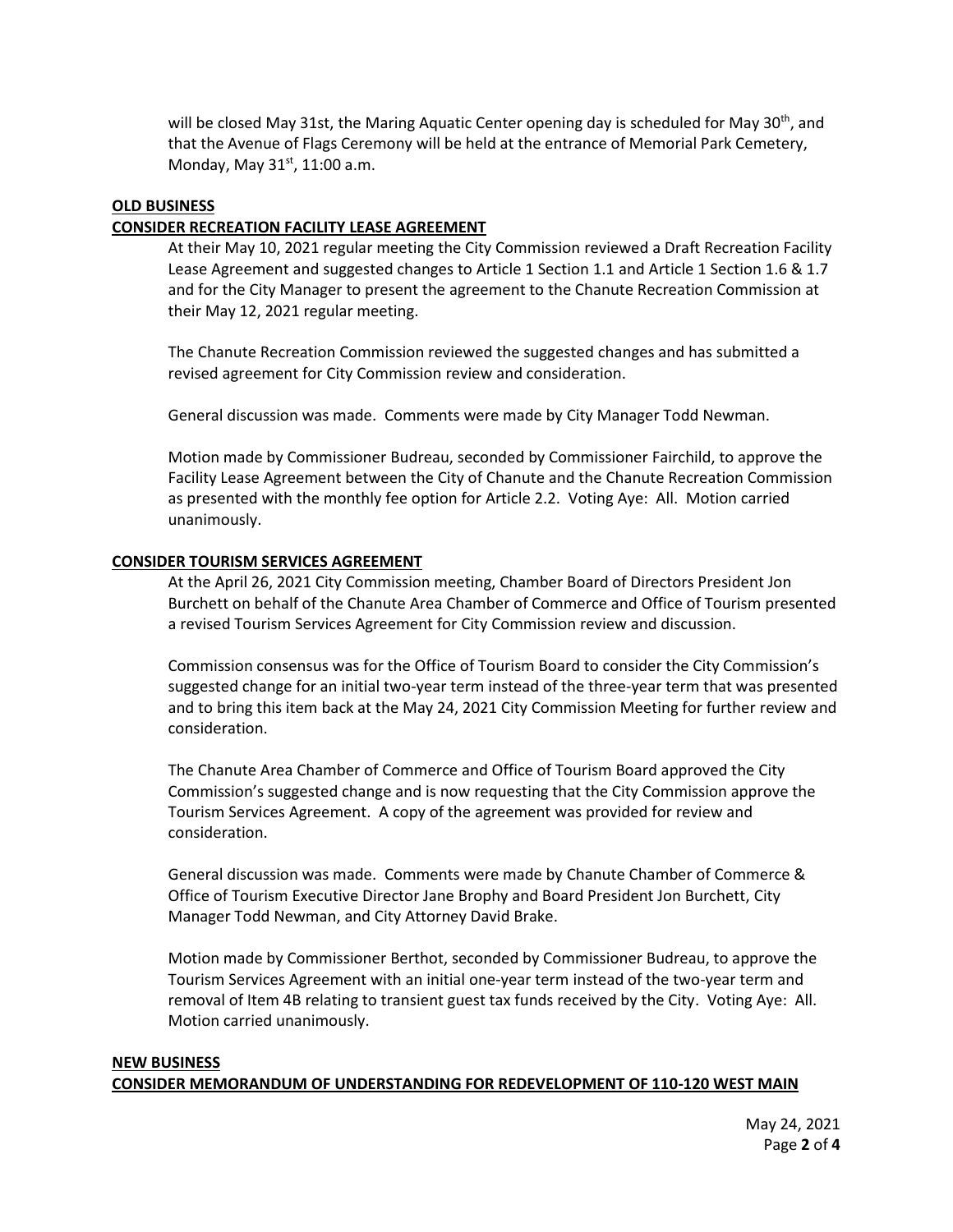will be closed May 31st, the Maring Aquatic Center opening day is scheduled for May 30<sup>th</sup>, and that the Avenue of Flags Ceremony will be held at the entrance of Memorial Park Cemetery, Monday, May  $31<sup>st</sup>$ , 11:00 a.m.

# **OLD BUSINESS**

# **CONSIDER RECREATION FACILITY LEASE AGREEMENT**

At their May 10, 2021 regular meeting the City Commission reviewed a Draft Recreation Facility Lease Agreement and suggested changes to Article 1 Section 1.1 and Article 1 Section 1.6 & 1.7 and for the City Manager to present the agreement to the Chanute Recreation Commission at their May 12, 2021 regular meeting.

The Chanute Recreation Commission reviewed the suggested changes and has submitted a revised agreement for City Commission review and consideration.

General discussion was made. Comments were made by City Manager Todd Newman.

Motion made by Commissioner Budreau, seconded by Commissioner Fairchild, to approve the Facility Lease Agreement between the City of Chanute and the Chanute Recreation Commission as presented with the monthly fee option for Article 2.2. Voting Aye: All. Motion carried unanimously.

## **CONSIDER TOURISM SERVICES AGREEMENT**

At the April 26, 2021 City Commission meeting, Chamber Board of Directors President Jon Burchett on behalf of the Chanute Area Chamber of Commerce and Office of Tourism presented a revised Tourism Services Agreement for City Commission review and discussion.

Commission consensus was for the Office of Tourism Board to consider the City Commission's suggested change for an initial two-year term instead of the three-year term that was presented and to bring this item back at the May 24, 2021 City Commission Meeting for further review and consideration.

The Chanute Area Chamber of Commerce and Office of Tourism Board approved the City Commission's suggested change and is now requesting that the City Commission approve the Tourism Services Agreement. A copy of the agreement was provided for review and consideration.

General discussion was made. Comments were made by Chanute Chamber of Commerce & Office of Tourism Executive Director Jane Brophy and Board President Jon Burchett, City Manager Todd Newman, and City Attorney David Brake.

Motion made by Commissioner Berthot, seconded by Commissioner Budreau, to approve the Tourism Services Agreement with an initial one-year term instead of the two-year term and removal of Item 4B relating to transient guest tax funds received by the City. Voting Aye: All. Motion carried unanimously.

### **NEW BUSINESS CONSIDER MEMORANDUM OF UNDERSTANDING FOR REDEVELOPMENT OF 110-120 WEST MAIN**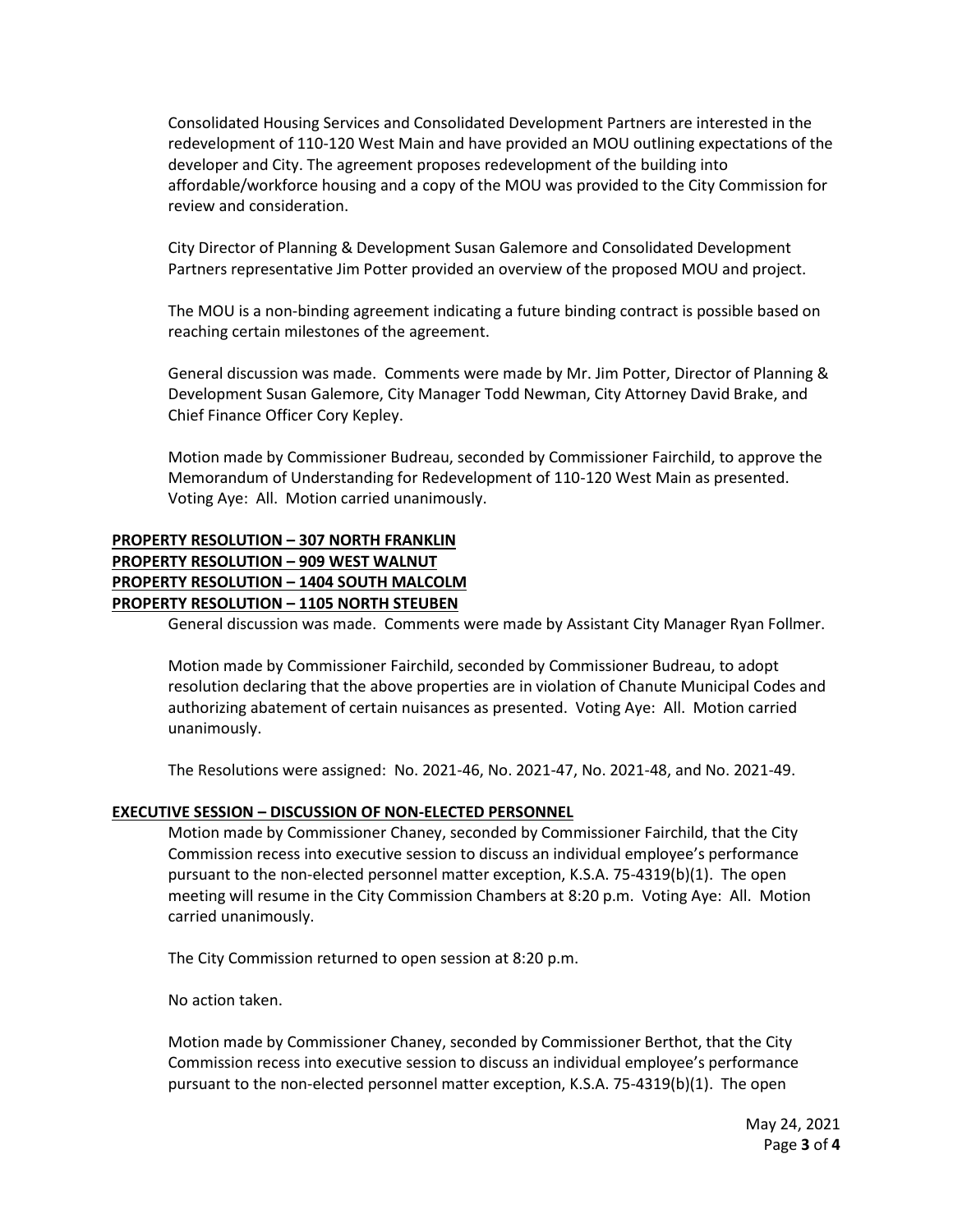Consolidated Housing Services and Consolidated Development Partners are interested in the redevelopment of 110-120 West Main and have provided an MOU outlining expectations of the developer and City. The agreement proposes redevelopment of the building into affordable/workforce housing and a copy of the MOU was provided to the City Commission for review and consideration.

City Director of Planning & Development Susan Galemore and Consolidated Development Partners representative Jim Potter provided an overview of the proposed MOU and project.

The MOU is a non-binding agreement indicating a future binding contract is possible based on reaching certain milestones of the agreement.

General discussion was made. Comments were made by Mr. Jim Potter, Director of Planning & Development Susan Galemore, City Manager Todd Newman, City Attorney David Brake, and Chief Finance Officer Cory Kepley.

Motion made by Commissioner Budreau, seconded by Commissioner Fairchild, to approve the Memorandum of Understanding for Redevelopment of 110-120 West Main as presented. Voting Aye: All. Motion carried unanimously.

# **PROPERTY RESOLUTION – 307 NORTH FRANKLIN PROPERTY RESOLUTION – 909 WEST WALNUT PROPERTY RESOLUTION – 1404 SOUTH MALCOLM PROPERTY RESOLUTION – 1105 NORTH STEUBEN**

General discussion was made. Comments were made by Assistant City Manager Ryan Follmer.

Motion made by Commissioner Fairchild, seconded by Commissioner Budreau, to adopt resolution declaring that the above properties are in violation of Chanute Municipal Codes and authorizing abatement of certain nuisances as presented. Voting Aye: All. Motion carried unanimously.

The Resolutions were assigned: No. 2021-46, No. 2021-47, No. 2021-48, and No. 2021-49.

### **EXECUTIVE SESSION – DISCUSSION OF NON-ELECTED PERSONNEL**

Motion made by Commissioner Chaney, seconded by Commissioner Fairchild, that the City Commission recess into executive session to discuss an individual employee's performance pursuant to the non-elected personnel matter exception, K.S.A. 75-4319(b)(1). The open meeting will resume in the City Commission Chambers at 8:20 p.m. Voting Aye: All. Motion carried unanimously.

The City Commission returned to open session at 8:20 p.m.

No action taken.

Motion made by Commissioner Chaney, seconded by Commissioner Berthot, that the City Commission recess into executive session to discuss an individual employee's performance pursuant to the non-elected personnel matter exception, K.S.A. 75-4319(b)(1). The open